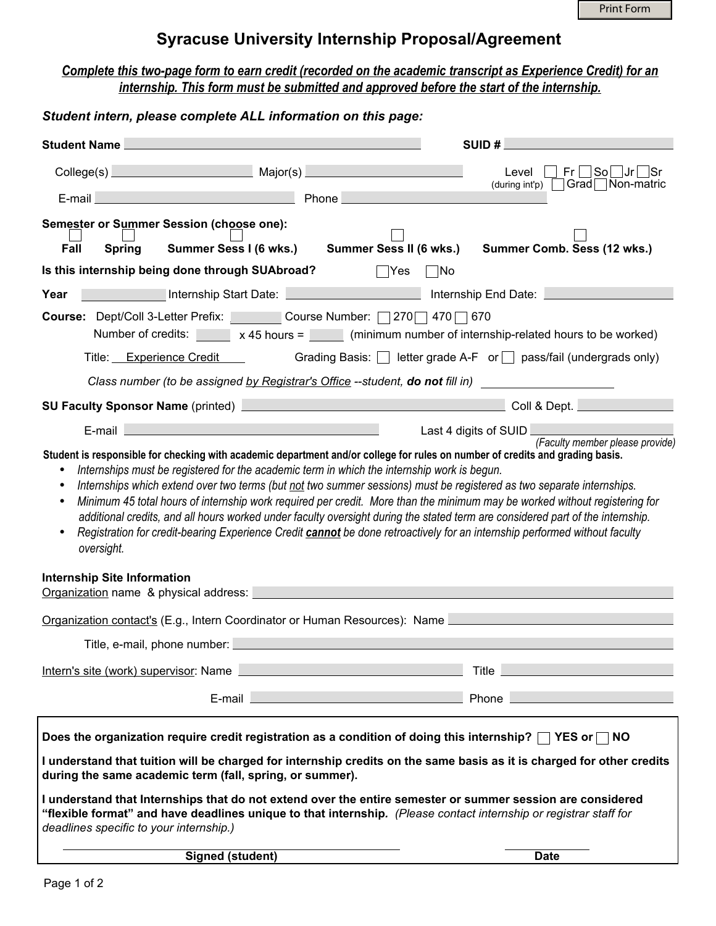# **Syracuse University Internship Proposal/Agreement**

## *Complete this two-page form to earn credit (recorded on the academic transcript as Experience Credit) for an internship. This form must be submitted and approved before the start of the internship.*

## *Student intern, please complete ALL information on this page:*

| <b>Student Name</b>                                                                                                                                                                                                                                                                                                                                                                                                                                                                                                                                                                                                                                                                                                                                           |                                                                       |                                                                                                                | SUID#                                                                                                                                                                                                                                |  |
|---------------------------------------------------------------------------------------------------------------------------------------------------------------------------------------------------------------------------------------------------------------------------------------------------------------------------------------------------------------------------------------------------------------------------------------------------------------------------------------------------------------------------------------------------------------------------------------------------------------------------------------------------------------------------------------------------------------------------------------------------------------|-----------------------------------------------------------------------|----------------------------------------------------------------------------------------------------------------|--------------------------------------------------------------------------------------------------------------------------------------------------------------------------------------------------------------------------------------|--|
|                                                                                                                                                                                                                                                                                                                                                                                                                                                                                                                                                                                                                                                                                                                                                               | College(s) Major(s) Major(s)                                          |                                                                                                                | _ So _ Jr <br>Fr <sub>1</sub><br>Level<br>Grad Non-matric<br>(during int'p)                                                                                                                                                          |  |
| E-mail                                                                                                                                                                                                                                                                                                                                                                                                                                                                                                                                                                                                                                                                                                                                                        |                                                                       | Phone                                                                                                          |                                                                                                                                                                                                                                      |  |
|                                                                                                                                                                                                                                                                                                                                                                                                                                                                                                                                                                                                                                                                                                                                                               | Semester or Summer Session (choose one):                              |                                                                                                                |                                                                                                                                                                                                                                      |  |
| Fall                                                                                                                                                                                                                                                                                                                                                                                                                                                                                                                                                                                                                                                                                                                                                          | Summer Sess I (6 wks.)<br><b>Spring</b>                               | Summer Sess II (6 wks.)                                                                                        | Summer Comb. Sess (12 wks.)                                                                                                                                                                                                          |  |
| Is this internship being done through SUAbroad?<br> Yes<br> No                                                                                                                                                                                                                                                                                                                                                                                                                                                                                                                                                                                                                                                                                                |                                                                       |                                                                                                                |                                                                                                                                                                                                                                      |  |
| Year                                                                                                                                                                                                                                                                                                                                                                                                                                                                                                                                                                                                                                                                                                                                                          |                                                                       | Internship Start Date: Network and Date Assembly Start Date:                                                   | Internship End Date: <u>______________</u>                                                                                                                                                                                           |  |
| Course: Dept/Coll 3-Letter Prefix: Course Number: 270 470 670<br>Number of credits: $\begin{bmatrix} x & 45 \text{ hours} = \\ x & 45 \text{ hours} = \\ x & 45 \text{ hours} = \\ x & 45 \text{ hours} = \\ x & 45 \text{ hours} = \\ x & 45 \text{ hours} = \\ x & 45 \text{ hours} = \\ x & 45 \text{ hours} = \\ x & 45 \text{ hours} = \\ x & 45 \text{ hours} = \\ x & 45 \text{ hours} = \\ x & 45 \text{ hours} = \\ x & 45 \text{ hours} = \\ x & 45 \text{ hours} = \\ x & 45 \text{ hours} = \\ x & 45 \text{ hours} = \\ x & $                                                                                                                                                                                                                    |                                                                       |                                                                                                                |                                                                                                                                                                                                                                      |  |
|                                                                                                                                                                                                                                                                                                                                                                                                                                                                                                                                                                                                                                                                                                                                                               | Title: Experience Credit                                              |                                                                                                                | Grading Basis: $\Box$ letter grade A-F or $\Box$ pass/fail (undergrads only)                                                                                                                                                         |  |
| Class number (to be assigned by Registrar's Office --student, do not fill in)                                                                                                                                                                                                                                                                                                                                                                                                                                                                                                                                                                                                                                                                                 |                                                                       |                                                                                                                |                                                                                                                                                                                                                                      |  |
|                                                                                                                                                                                                                                                                                                                                                                                                                                                                                                                                                                                                                                                                                                                                                               |                                                                       | SU Faculty Sponsor Name (printed) Manual Manual Manual Manual Manual Manual Manual Manual Manual Manual Manual | Coll & Dept.                                                                                                                                                                                                                         |  |
|                                                                                                                                                                                                                                                                                                                                                                                                                                                                                                                                                                                                                                                                                                                                                               | and the state of the state of the state of the state of the<br>E-mail |                                                                                                                | Last 4 digits of SUID<br>(Faculty member please provide)                                                                                                                                                                             |  |
| Internships must be registered for the academic term in which the internship work is begun.<br>Internships which extend over two terms (but not two summer sessions) must be registered as two separate internships.<br>$\bullet$<br>Minimum 45 total hours of internship work required per credit. More than the minimum may be worked without registering for<br>$\bullet$<br>additional credits, and all hours worked under faculty oversight during the stated term are considered part of the internship.<br>Registration for credit-bearing Experience Credit <i>cannot</i> be done retroactively for an internship performed without faculty<br>$\bullet$<br>oversight.<br><b>Internship Site Information</b><br>Organization name & physical address: |                                                                       |                                                                                                                |                                                                                                                                                                                                                                      |  |
|                                                                                                                                                                                                                                                                                                                                                                                                                                                                                                                                                                                                                                                                                                                                                               |                                                                       |                                                                                                                |                                                                                                                                                                                                                                      |  |
| Organization contact's (E.g., Intern Coordinator or Human Resources): Name<br>Title, e-mail, phone number: <b>All and Street and Street and Street and Street and Street and Street and Street</b>                                                                                                                                                                                                                                                                                                                                                                                                                                                                                                                                                            |                                                                       |                                                                                                                |                                                                                                                                                                                                                                      |  |
|                                                                                                                                                                                                                                                                                                                                                                                                                                                                                                                                                                                                                                                                                                                                                               |                                                                       |                                                                                                                |                                                                                                                                                                                                                                      |  |
|                                                                                                                                                                                                                                                                                                                                                                                                                                                                                                                                                                                                                                                                                                                                                               | Intern's site (work) supervisor: Name                                 |                                                                                                                | <b>Title</b>                                                                                                                                                                                                                         |  |
|                                                                                                                                                                                                                                                                                                                                                                                                                                                                                                                                                                                                                                                                                                                                                               |                                                                       | E-mail 2008 2009 2010 2021 2022 2023 2024 2022 2023 2024 2022 2023 2024 2022 2023 2024 2022 2023 2024 2025 20  | Phone <u>New York and the State of The State of The State of The State of The State of The State of The State of The State of The State of The State of The State of The State of The State of The State of The State of The Sta</u> |  |
| Does the organization require credit registration as a condition of doing this internship? $\Box$ YES or $\Box$ NO                                                                                                                                                                                                                                                                                                                                                                                                                                                                                                                                                                                                                                            |                                                                       |                                                                                                                |                                                                                                                                                                                                                                      |  |
| I understand that tuition will be charged for internship credits on the same basis as it is charged for other credits<br>during the same academic term (fall, spring, or summer).                                                                                                                                                                                                                                                                                                                                                                                                                                                                                                                                                                             |                                                                       |                                                                                                                |                                                                                                                                                                                                                                      |  |
| I understand that Internships that do not extend over the entire semester or summer session are considered<br>"flexible format" and have deadlines unique to that internship. (Please contact internship or registrar staff for<br>deadlines specific to your internship.)                                                                                                                                                                                                                                                                                                                                                                                                                                                                                    |                                                                       |                                                                                                                |                                                                                                                                                                                                                                      |  |
|                                                                                                                                                                                                                                                                                                                                                                                                                                                                                                                                                                                                                                                                                                                                                               | <b>Signed (student)</b>                                               |                                                                                                                | <b>Date</b>                                                                                                                                                                                                                          |  |